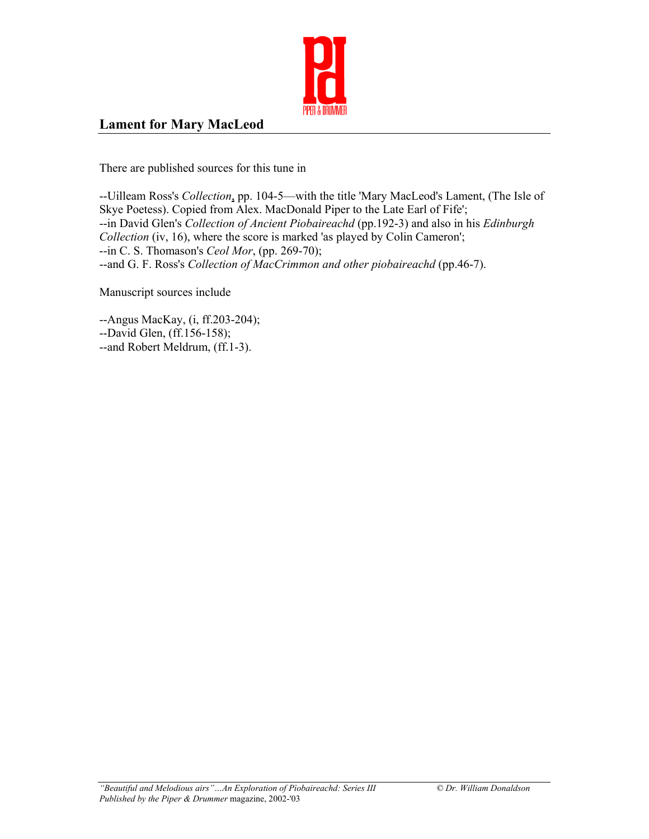

## **Lament for Mary MacLeod**

There are published sources for this tune in

--Uilleam Ross's *Collection*, pp. 104-5—with the title 'Mary MacLeod's Lament, (The Isle of Skye Poetess). Copied from Alex. MacDonald Piper to the Late Earl of Fife'; --in David Glen's *Collection of Ancient Piobaireachd* (pp.192-3) and also in his *Edinburgh Collection* (iv, 16), where the score is marked 'as played by Colin Cameron'; --in C. S. Thomason's *Ceol Mor*, (pp. 269-70); --and G. F. Ross's *Collection of MacCrimmon and other piobaireachd* (pp.46-7).

Manuscript sources include

--Angus MacKay, (i, ff.203-204); --David Glen, (ff.156-158); --and Robert Meldrum, (ff.1-3).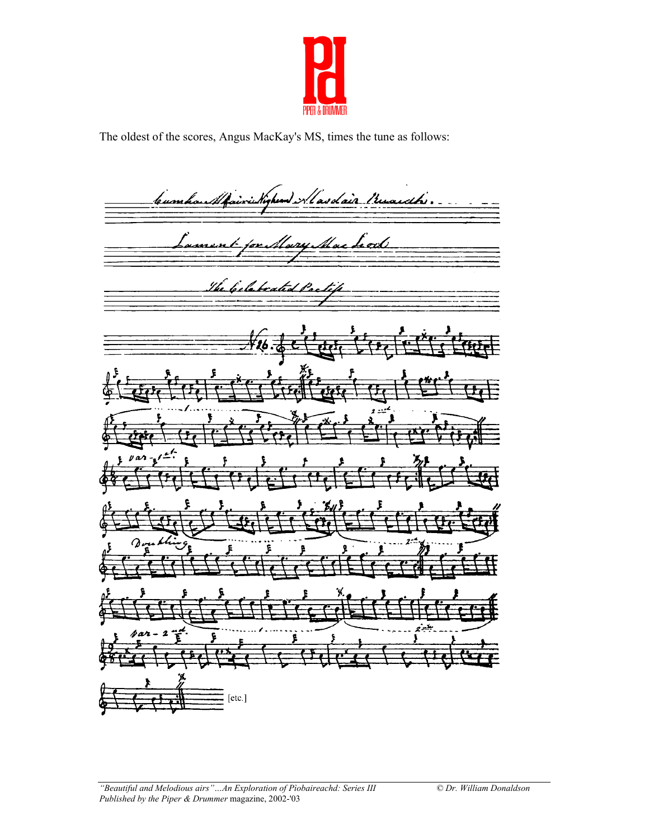

The oldest of the scores, Angus MacKay's MS, times the tune as follows:

Mairie Nigheand Alasdair Musich... bumhan fament par Mary Mac Leod The belebrated Poetif  $\Omega$ 2  $[etc.]$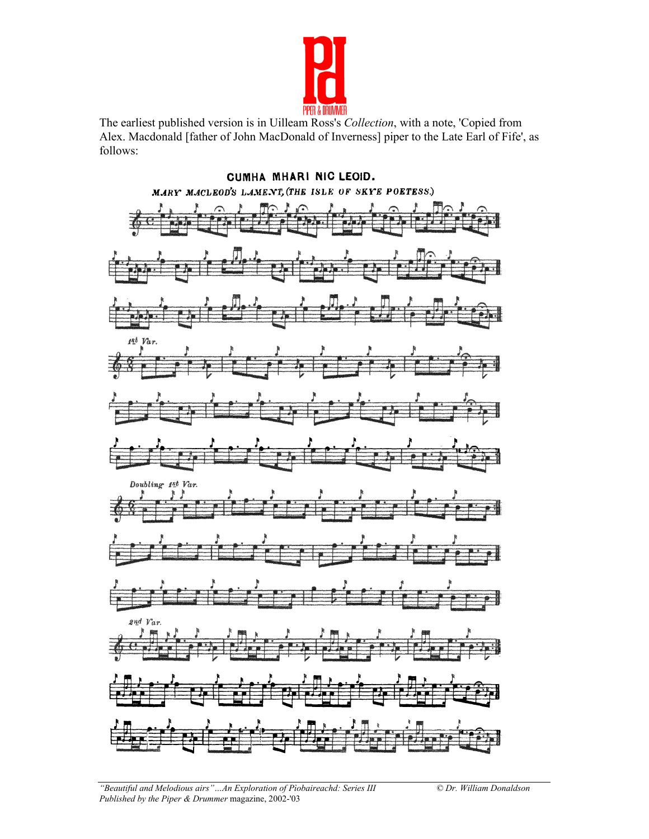

The earliest published version is in Uilleam Ross's *Collection*, with a note, 'Copied from Alex. Macdonald [father of John MacDonald of Inverness] piper to the Late Earl of Fife', as follows:

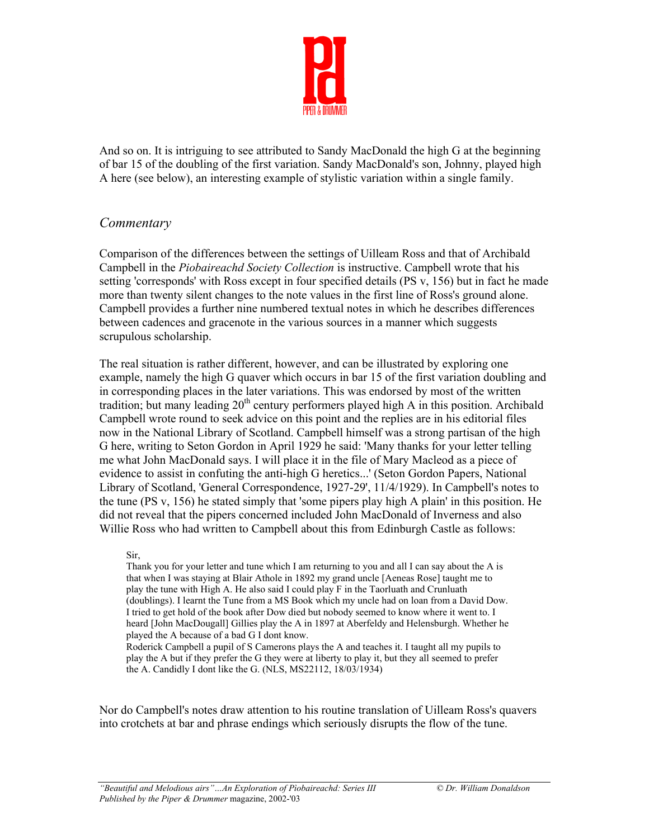

And so on. It is intriguing to see attributed to Sandy MacDonald the high G at the beginning of bar 15 of the doubling of the first variation. Sandy MacDonald's son, Johnny, played high A here (see below), an interesting example of stylistic variation within a single family.

## *Commentary*

Comparison of the differences between the settings of Uilleam Ross and that of Archibald Campbell in the *Piobaireachd Society Collection* is instructive. Campbell wrote that his setting 'corresponds' with Ross except in four specified details (PS v, 156) but in fact he made more than twenty silent changes to the note values in the first line of Ross's ground alone. Campbell provides a further nine numbered textual notes in which he describes differences between cadences and gracenote in the various sources in a manner which suggests scrupulous scholarship.

The real situation is rather different, however, and can be illustrated by exploring one example, namely the high G quaver which occurs in bar 15 of the first variation doubling and in corresponding places in the later variations. This was endorsed by most of the written tradition; but many leading  $20<sup>th</sup>$  century performers played high A in this position. Archibald Campbell wrote round to seek advice on this point and the replies are in his editorial files now in the National Library of Scotland. Campbell himself was a strong partisan of the high G here, writing to Seton Gordon in April 1929 he said: 'Many thanks for your letter telling me what John MacDonald says. I will place it in the file of Mary Macleod as a piece of evidence to assist in confuting the anti-high G heretics...' (Seton Gordon Papers, National Library of Scotland, 'General Correspondence, 1927-29', 11/4/1929). In Campbell's notes to the tune (PS v, 156) he stated simply that 'some pipers play high A plain' in this position. He did not reveal that the pipers concerned included John MacDonald of Inverness and also Willie Ross who had written to Campbell about this from Edinburgh Castle as follows:

Sir,

Thank you for your letter and tune which I am returning to you and all I can say about the A is that when I was staying at Blair Athole in 1892 my grand uncle [Aeneas Rose] taught me to play the tune with High A. He also said I could play F in the Taorluath and Crunluath (doublings). I learnt the Tune from a MS Book which my uncle had on loan from a David Dow. I tried to get hold of the book after Dow died but nobody seemed to know where it went to. I heard [John MacDougall] Gillies play the A in 1897 at Aberfeldy and Helensburgh. Whether he played the A because of a bad G I dont know.

Roderick Campbell a pupil of S Camerons plays the A and teaches it. I taught all my pupils to play the A but if they prefer the G they were at liberty to play it, but they all seemed to prefer the A. Candidly I dont like the G. (NLS, MS22112, 18/03/1934)

Nor do Campbell's notes draw attention to his routine translation of Uilleam Ross's quavers into crotchets at bar and phrase endings which seriously disrupts the flow of the tune.